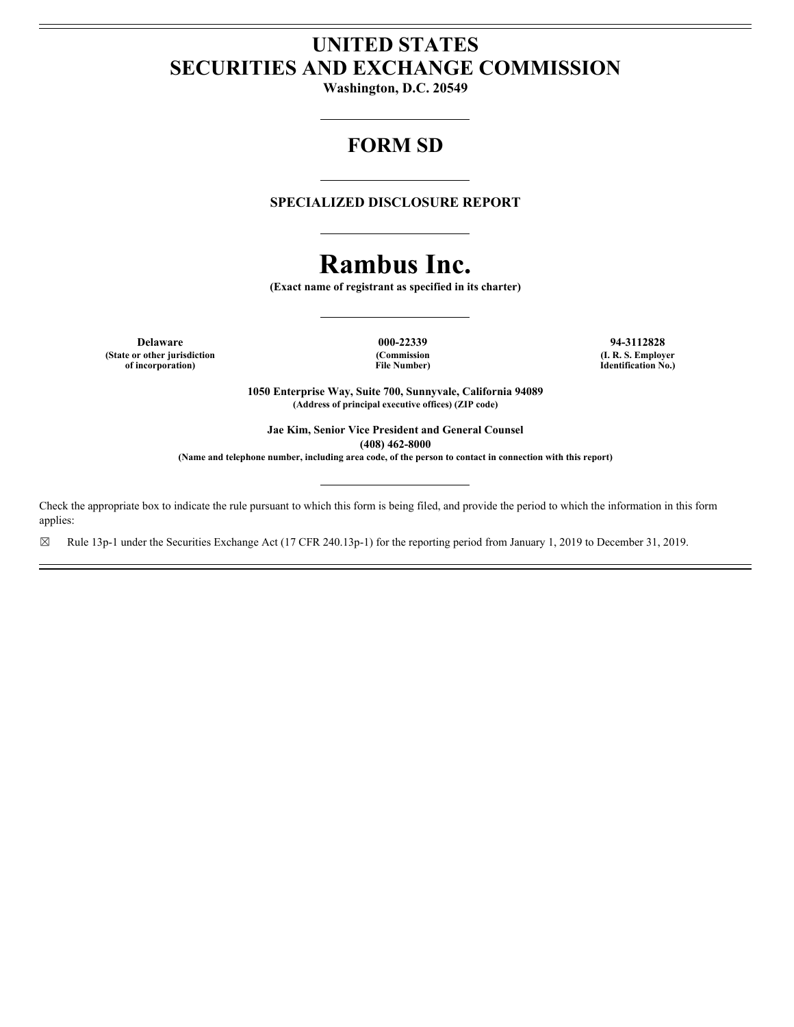# **UNITED STATES SECURITIES AND EXCHANGE COMMISSION**

**Washington, D.C. 20549**

# **FORM SD**

# **SPECIALIZED DISCLOSURE REPORT**

# **Rambus Inc.**

**(Exact name of registrant as specified in its charter)**

**Delaware 000-22339 94-3112828 (State or other jurisdiction of incorporation)**

**File Number)**

**(Commission (I. R. S. Employer Identification No.)**

**1050 Enterprise Way, Suite 700, Sunnyvale, California 94089 (Address of principal executive offices) (ZIP code)**

**Jae Kim, Senior Vice President and General Counsel (408) 462-8000**

**(Name and telephone number, including area code, of the person to contact in connection with this report)**

Check the appropriate box to indicate the rule pursuant to which this form is being filed, and provide the period to which the information in this form applies:

☒ Rule 13p-1 under the Securities Exchange Act (17 CFR 240.13p-1) for the reporting period from January 1, 2019 to December 31, 2019.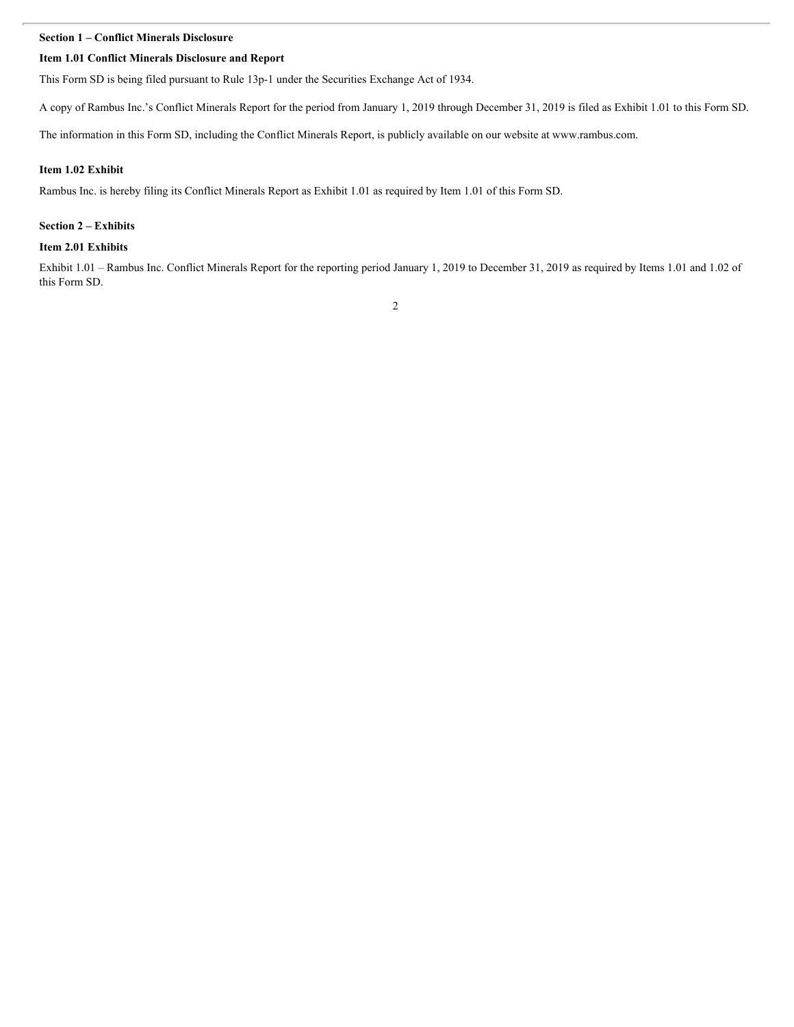#### **Section 1 – Conflict Minerals Disclosure**

#### **Item 1.01 Conflict Minerals Disclosure and Report**

This Form SD is being filed pursuant to Rule 13p-1 under the Securities Exchange Act of 1934.

A copy of Rambus Inc.'s Conflict Minerals Report for the period from January 1, 2019 through December 31, 2019 is filed as Exhibit 1.01 to this Form SD.

The information in this Form SD, including the Conflict Minerals Report, is publicly available on our website at www.rambus.com.

#### **Item 1.02 Exhibit**

Rambus Inc. is hereby filing its Conflict Minerals Report as Exhibit 1.01 as required by Item 1.01 of this Form SD.

#### **Section 2 – Exhibits**

#### **Item 2.01 Exhibits**

Exhibit 1.01 – Rambus Inc. Conflict Minerals Report for the reporting period January 1, 2019 to December 31, 2019 as required by Items 1.01 and 1.02 of this Form SD.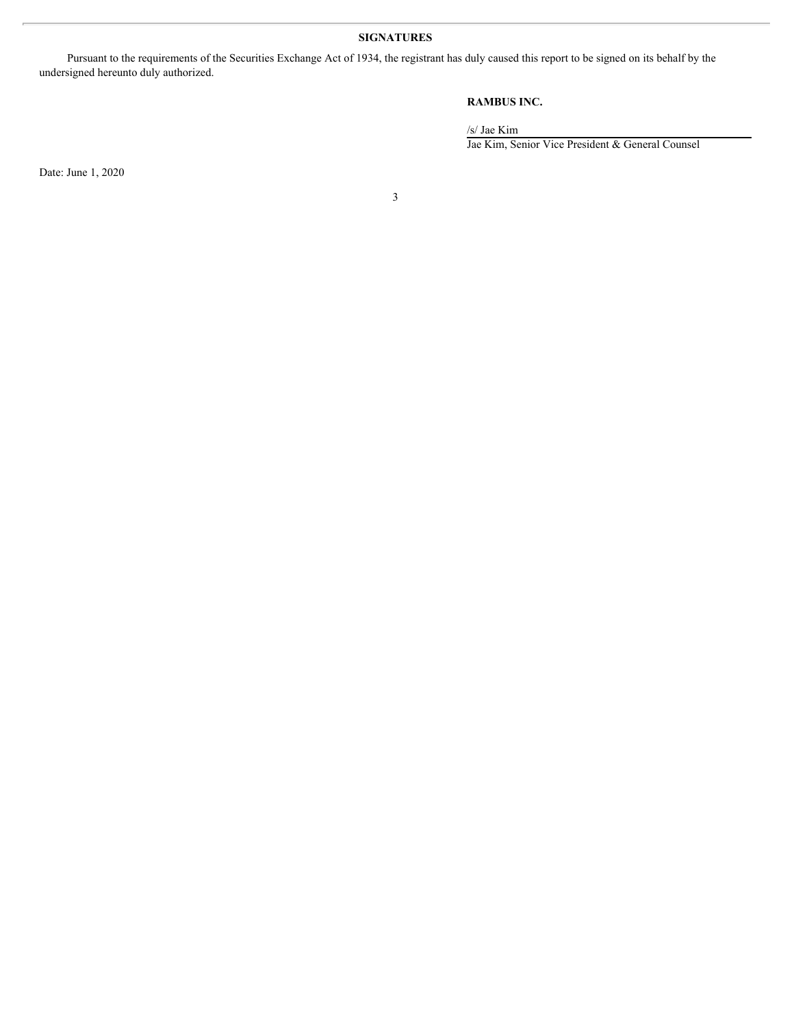# **SIGNATURES**

Pursuant to the requirements of the Securities Exchange Act of 1934, the registrant has duly caused this report to be signed on its behalf by the undersigned hereunto duly authorized.

# **RAMBUS INC.**

/s/ Jae Kim

Jae Kim, Senior Vice President & General Counsel

Date: June 1, 2020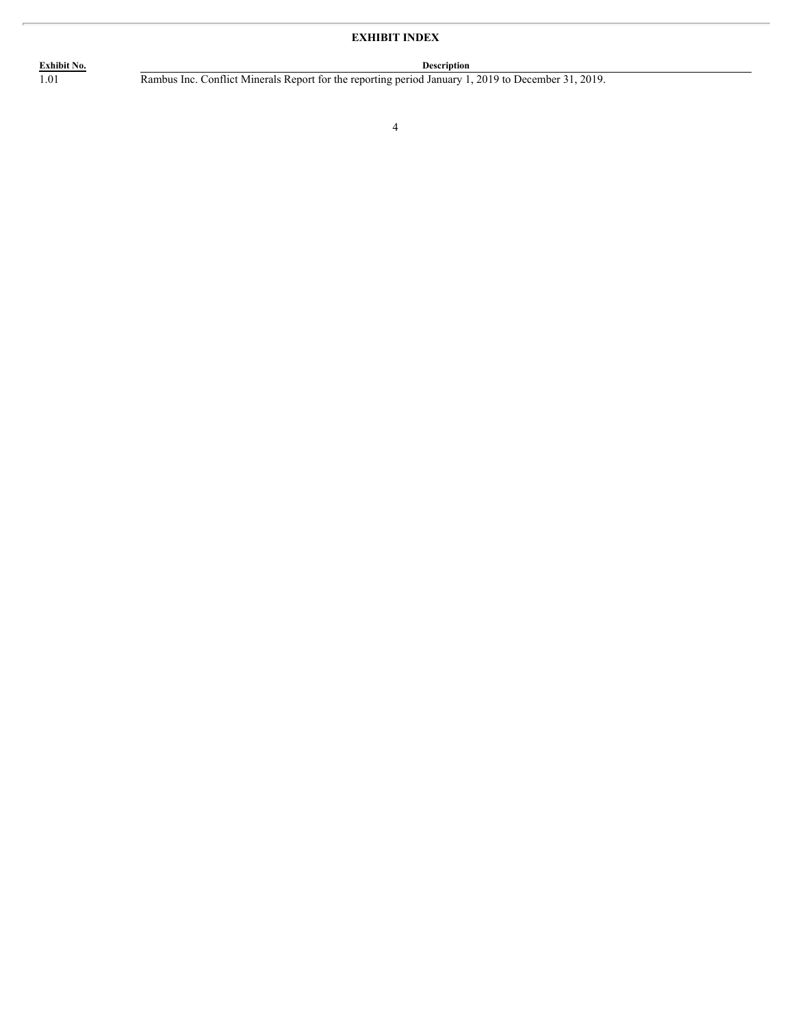# **EXHIBIT INDEX**

**Exhibit No. Description** 1.01 Rambus Inc. Conflict Minerals Report for the reporting period January 1, 2019 to December 31, 2019.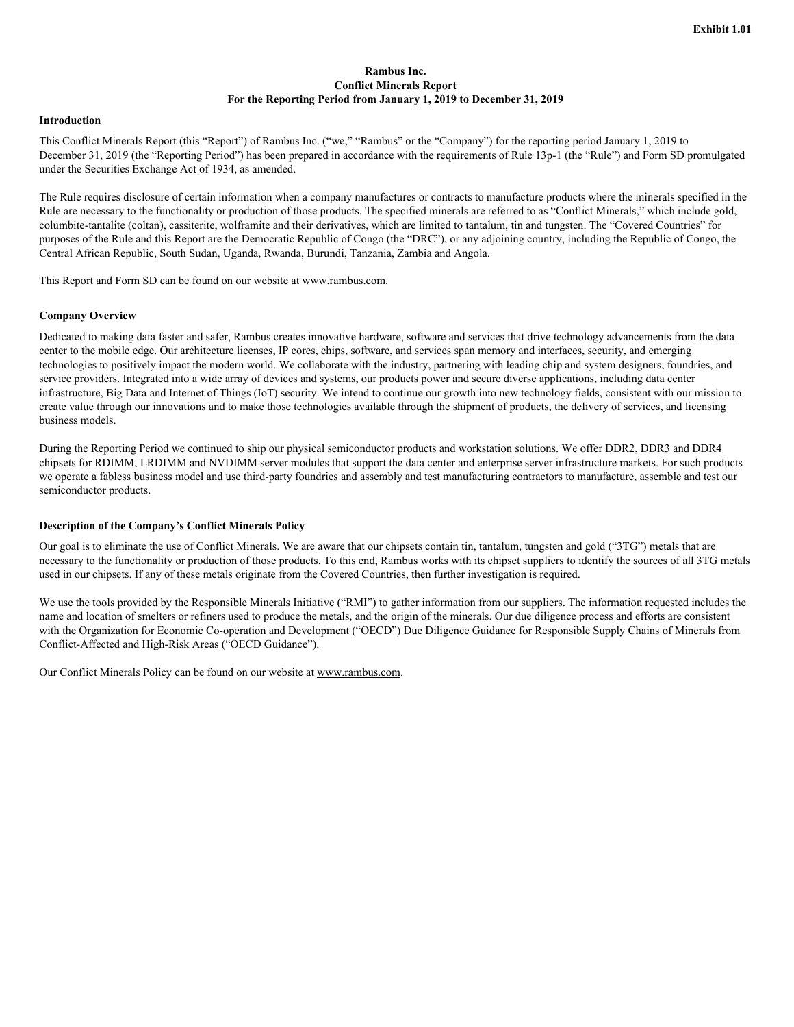## **Rambus Inc. Conflict Minerals Report For the Reporting Period from January 1, 2019 to December 31, 2019**

#### **Introduction**

This Conflict Minerals Report (this "Report") of Rambus Inc. ("we," "Rambus" or the "Company") for the reporting period January 1, 2019 to December 31, 2019 (the "Reporting Period") has been prepared in accordance with the requirements of Rule 13p-1 (the "Rule") and Form SD promulgated under the Securities Exchange Act of 1934, as amended.

The Rule requires disclosure of certain information when a company manufactures or contracts to manufacture products where the minerals specified in the Rule are necessary to the functionality or production of those products. The specified minerals are referred to as "Conflict Minerals," which include gold, columbite-tantalite (coltan), cassiterite, wolframite and their derivatives, which are limited to tantalum, tin and tungsten. The "Covered Countries" for purposes of the Rule and this Report are the Democratic Republic of Congo (the "DRC"), or any adjoining country, including the Republic of Congo, the Central African Republic, South Sudan, Uganda, Rwanda, Burundi, Tanzania, Zambia and Angola.

This Report and Form SD can be found on our website at www.rambus.com.

### **Company Overview**

Dedicated to making data faster and safer, Rambus creates innovative hardware, software and services that drive technology advancements from the data center to the mobile edge. Our architecture licenses, IP cores, chips, software, and services span memory and interfaces, security, and emerging technologies to positively impact the modern world. We collaborate with the industry, partnering with leading chip and system designers, foundries, and service providers. Integrated into a wide array of devices and systems, our products power and secure diverse applications, including data center infrastructure, Big Data and Internet of Things (IoT) security. We intend to continue our growth into new technology fields, consistent with our mission to create value through our innovations and to make those technologies available through the shipment of products, the delivery of services, and licensing business models.

During the Reporting Period we continued to ship our physical semiconductor products and workstation solutions. We offer DDR2, DDR3 and DDR4 chipsets for RDIMM, LRDIMM and NVDIMM server modules that support the data center and enterprise server infrastructure markets. For such products we operate a fabless business model and use third-party foundries and assembly and test manufacturing contractors to manufacture, assemble and test our semiconductor products.

#### **Description of the Company's Conflict Minerals Policy**

Our goal is to eliminate the use of Conflict Minerals. We are aware that our chipsets contain tin, tantalum, tungsten and gold ("3TG") metals that are necessary to the functionality or production of those products. To this end, Rambus works with its chipset suppliers to identify the sources of all 3TG metals used in our chipsets. If any of these metals originate from the Covered Countries, then further investigation is required.

We use the tools provided by the Responsible Minerals Initiative ("RMI") to gather information from our suppliers. The information requested includes the name and location of smelters or refiners used to produce the metals, and the origin of the minerals. Our due diligence process and efforts are consistent with the Organization for Economic Co-operation and Development ("OECD") Due Diligence Guidance for Responsible Supply Chains of Minerals from Conflict-Affected and High-Risk Areas ("OECD Guidance").

Our Conflict Minerals Policy can be found on our website at www.rambus.com.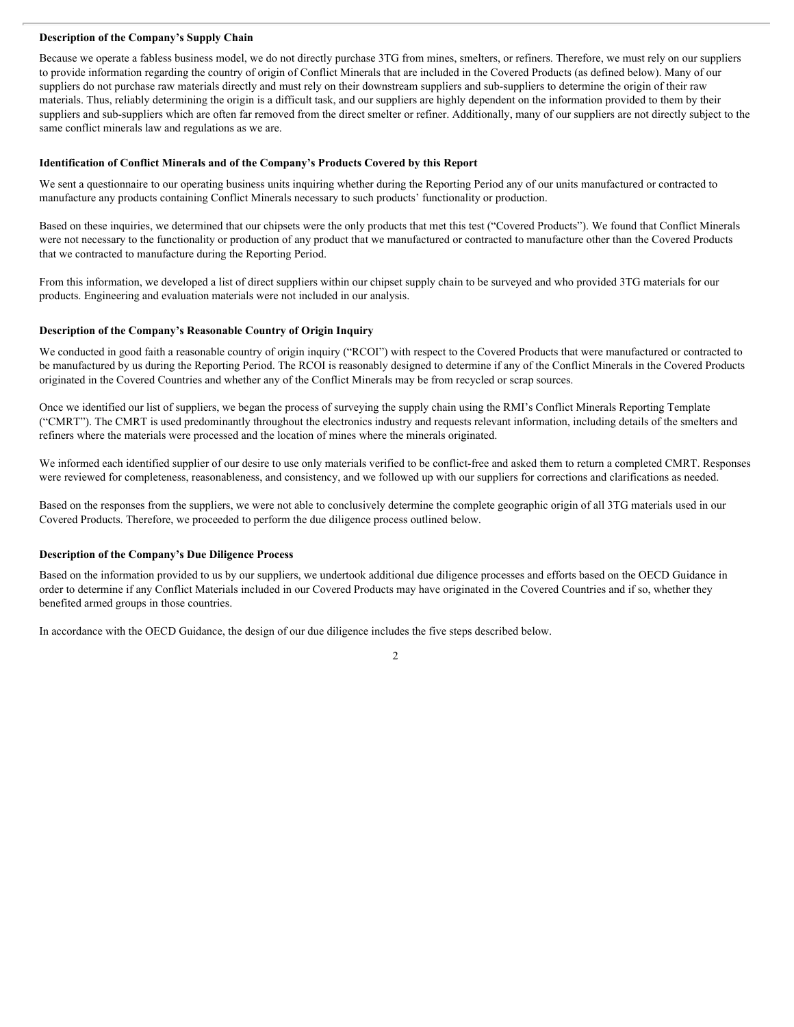#### **Description of the Company's Supply Chain**

Because we operate a fabless business model, we do not directly purchase 3TG from mines, smelters, or refiners. Therefore, we must rely on our suppliers to provide information regarding the country of origin of Conflict Minerals that are included in the Covered Products (as defined below). Many of our suppliers do not purchase raw materials directly and must rely on their downstream suppliers and sub-suppliers to determine the origin of their raw materials. Thus, reliably determining the origin is a difficult task, and our suppliers are highly dependent on the information provided to them by their suppliers and sub-suppliers which are often far removed from the direct smelter or refiner. Additionally, many of our suppliers are not directly subject to the same conflict minerals law and regulations as we are.

#### **Identification of Conflict Minerals and of the Company's Products Covered by this Report**

We sent a questionnaire to our operating business units inquiring whether during the Reporting Period any of our units manufactured or contracted to manufacture any products containing Conflict Minerals necessary to such products' functionality or production.

Based on these inquiries, we determined that our chipsets were the only products that met this test ("Covered Products"). We found that Conflict Minerals were not necessary to the functionality or production of any product that we manufactured or contracted to manufacture other than the Covered Products that we contracted to manufacture during the Reporting Period.

From this information, we developed a list of direct suppliers within our chipset supply chain to be surveyed and who provided 3TG materials for our products. Engineering and evaluation materials were not included in our analysis.

#### **Description of the Company's Reasonable Country of Origin Inquiry**

We conducted in good faith a reasonable country of origin inquiry ("RCOI") with respect to the Covered Products that were manufactured or contracted to be manufactured by us during the Reporting Period. The RCOI is reasonably designed to determine if any of the Conflict Minerals in the Covered Products originated in the Covered Countries and whether any of the Conflict Minerals may be from recycled or scrap sources.

Once we identified our list of suppliers, we began the process of surveying the supply chain using the RMI's Conflict Minerals Reporting Template ("CMRT"). The CMRT is used predominantly throughout the electronics industry and requests relevant information, including details of the smelters and refiners where the materials were processed and the location of mines where the minerals originated.

We informed each identified supplier of our desire to use only materials verified to be conflict-free and asked them to return a completed CMRT. Responses were reviewed for completeness, reasonableness, and consistency, and we followed up with our suppliers for corrections and clarifications as needed.

Based on the responses from the suppliers, we were not able to conclusively determine the complete geographic origin of all 3TG materials used in our Covered Products. Therefore, we proceeded to perform the due diligence process outlined below.

#### **Description of the Company's Due Diligence Process**

Based on the information provided to us by our suppliers, we undertook additional due diligence processes and efforts based on the OECD Guidance in order to determine if any Conflict Materials included in our Covered Products may have originated in the Covered Countries and if so, whether they benefited armed groups in those countries.

In accordance with the OECD Guidance, the design of our due diligence includes the five steps described below.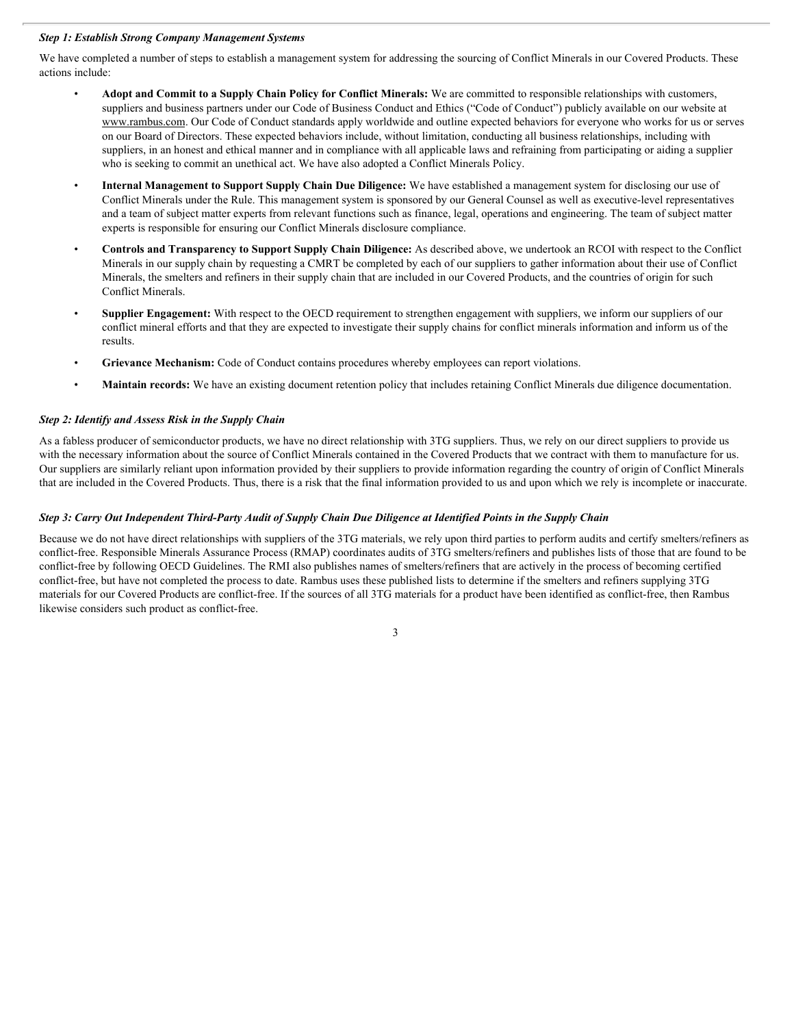#### *Step 1: Establish Strong Company Management Systems*

We have completed a number of steps to establish a management system for addressing the sourcing of Conflict Minerals in our Covered Products. These actions include:

- **Adopt and Commit to a Supply Chain Policy for Conflict Minerals:** We are committed to responsible relationships with customers, suppliers and business partners under our Code of Business Conduct and Ethics ("Code of Conduct") publicly available on our website at www.rambus.com. Our Code of Conduct standards apply worldwide and outline expected behaviors for everyone who works for us or serves on our Board of Directors. These expected behaviors include, without limitation, conducting all business relationships, including with suppliers, in an honest and ethical manner and in compliance with all applicable laws and refraining from participating or aiding a supplier who is seeking to commit an unethical act. We have also adopted a Conflict Minerals Policy.
- **Internal Management to Support Supply Chain Due Diligence:** We have established a management system for disclosing our use of Conflict Minerals under the Rule. This management system is sponsored by our General Counsel as well as executive-level representatives and a team of subject matter experts from relevant functions such as finance, legal, operations and engineering. The team of subject matter experts is responsible for ensuring our Conflict Minerals disclosure compliance.
- **Controls and Transparency to Support Supply Chain Diligence:** As described above, we undertook an RCOI with respect to the Conflict Minerals in our supply chain by requesting a CMRT be completed by each of our suppliers to gather information about their use of Conflict Minerals, the smelters and refiners in their supply chain that are included in our Covered Products, and the countries of origin for such Conflict Minerals.
- Supplier Engagement: With respect to the OECD requirement to strengthen engagement with suppliers, we inform our suppliers of our conflict mineral efforts and that they are expected to investigate their supply chains for conflict minerals information and inform us of the results.
- **Grievance Mechanism:** Code of Conduct contains procedures whereby employees can report violations.
- **Maintain records:** We have an existing document retention policy that includes retaining Conflict Minerals due diligence documentation.

#### *Step 2: Identify and Assess Risk in the Supply Chain*

As a fabless producer of semiconductor products, we have no direct relationship with 3TG suppliers. Thus, we rely on our direct suppliers to provide us with the necessary information about the source of Conflict Minerals contained in the Covered Products that we contract with them to manufacture for us. Our suppliers are similarly reliant upon information provided by their suppliers to provide information regarding the country of origin of Conflict Minerals that are included in the Covered Products. Thus, there is a risk that the final information provided to us and upon which we rely is incomplete or inaccurate.

#### *Step 3: Carry Out Independent Third-Party Audit of Supply Chain Due Diligence at Identified Points in the Supply Chain*

Because we do not have direct relationships with suppliers of the 3TG materials, we rely upon third parties to perform audits and certify smelters/refiners as conflict-free. Responsible Minerals Assurance Process (RMAP) coordinates audits of 3TG smelters/refiners and publishes lists of those that are found to be conflict-free by following OECD Guidelines. The RMI also publishes names of smelters/refiners that are actively in the process of becoming certified conflict-free, but have not completed the process to date. Rambus uses these published lists to determine if the smelters and refiners supplying 3TG materials for our Covered Products are conflict-free. If the sources of all 3TG materials for a product have been identified as conflict-free, then Rambus likewise considers such product as conflict-free.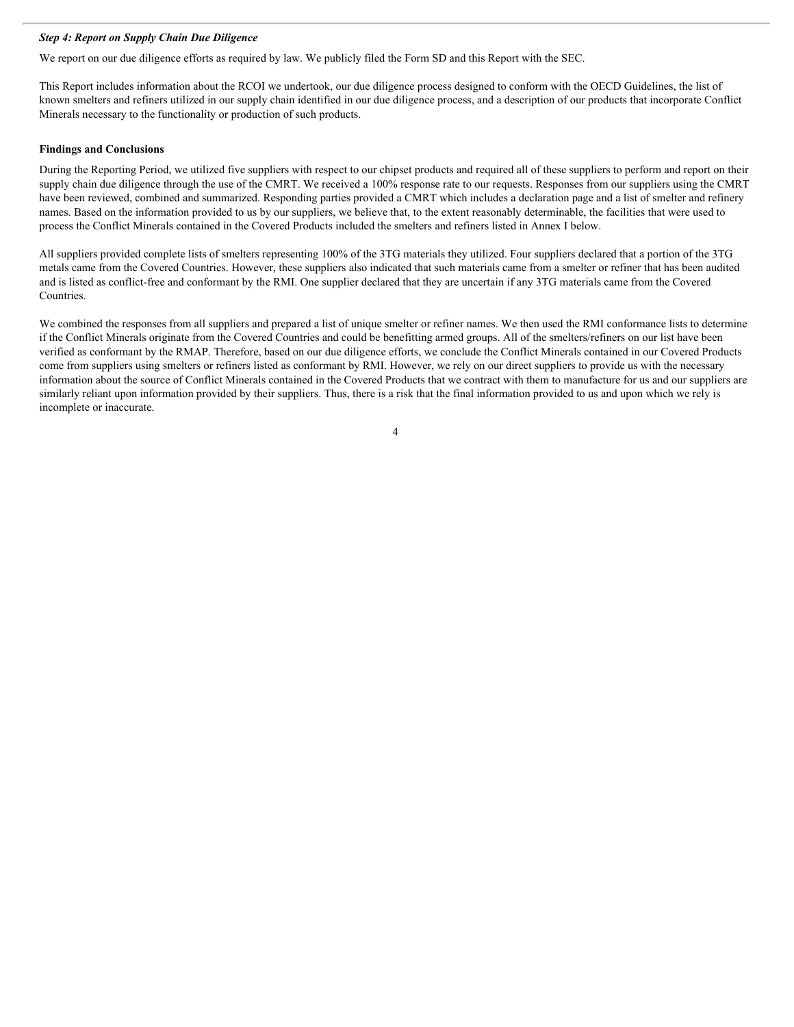#### *Step 4: Report on Supply Chain Due Diligence*

We report on our due diligence efforts as required by law. We publicly filed the Form SD and this Report with the SEC.

This Report includes information about the RCOI we undertook, our due diligence process designed to conform with the OECD Guidelines, the list of known smelters and refiners utilized in our supply chain identified in our due diligence process, and a description of our products that incorporate Conflict Minerals necessary to the functionality or production of such products.

# **Findings and Conclusions**

During the Reporting Period, we utilized five suppliers with respect to our chipset products and required all of these suppliers to perform and report on their supply chain due diligence through the use of the CMRT. We received a 100% response rate to our requests. Responses from our suppliers using the CMRT have been reviewed, combined and summarized. Responding parties provided a CMRT which includes a declaration page and a list of smelter and refinery names. Based on the information provided to us by our suppliers, we believe that, to the extent reasonably determinable, the facilities that were used to process the Conflict Minerals contained in the Covered Products included the smelters and refiners listed in Annex I below.

All suppliers provided complete lists of smelters representing 100% of the 3TG materials they utilized. Four suppliers declared that a portion of the 3TG metals came from the Covered Countries. However, these suppliers also indicated that such materials came from a smelter or refiner that has been audited and is listed as conflict-free and conformant by the RMI. One supplier declared that they are uncertain if any 3TG materials came from the Covered **Countries** 

We combined the responses from all suppliers and prepared a list of unique smelter or refiner names. We then used the RMI conformance lists to determine if the Conflict Minerals originate from the Covered Countries and could be benefitting armed groups. All of the smelters/refiners on our list have been verified as conformant by the RMAP. Therefore, based on our due diligence efforts, we conclude the Conflict Minerals contained in our Covered Products come from suppliers using smelters or refiners listed as conformant by RMI. However, we rely on our direct suppliers to provide us with the necessary information about the source of Conflict Minerals contained in the Covered Products that we contract with them to manufacture for us and our suppliers are similarly reliant upon information provided by their suppliers. Thus, there is a risk that the final information provided to us and upon which we rely is incomplete or inaccurate.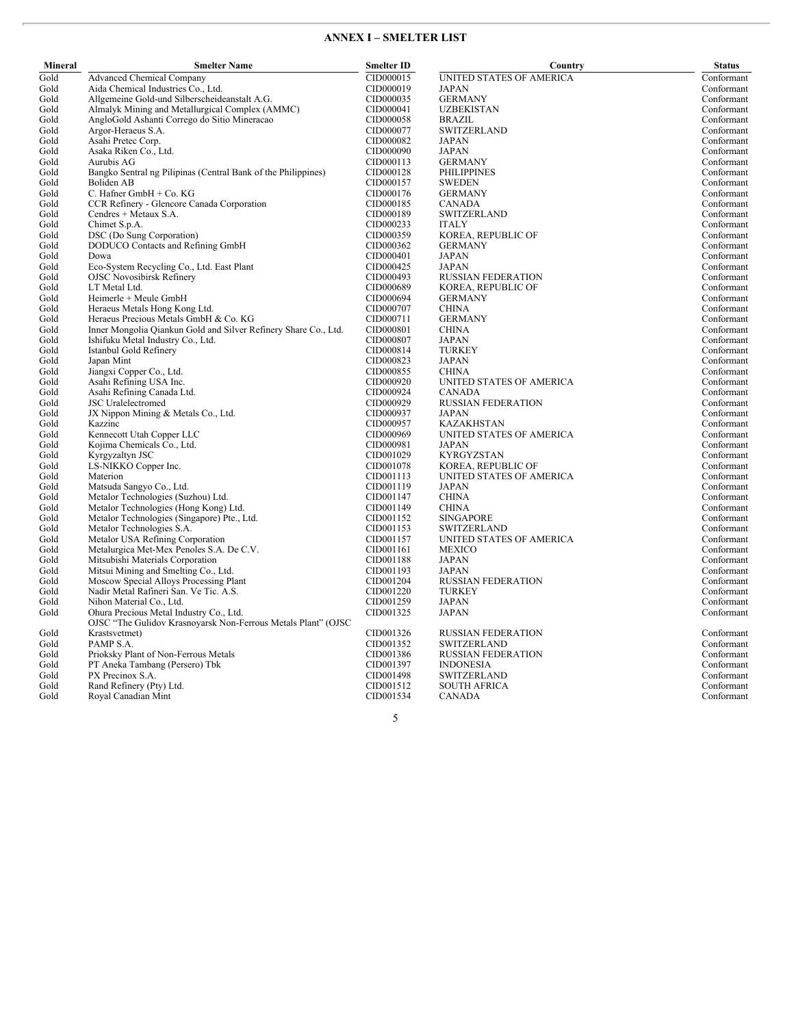# **ANNEX I – SMELTER LIST**

| Mineral      | <b>Smelter Name</b>                                                                                      | <b>Smelter ID</b>      | Country                             | <b>Status</b>            |
|--------------|----------------------------------------------------------------------------------------------------------|------------------------|-------------------------------------|--------------------------|
| Gold         | <b>Advanced Chemical Company</b>                                                                         | CID000015              | UNITED STATES OF AMERICA            | Conformant               |
| Gold         | Aida Chemical Industries Co., Ltd.                                                                       | CID000019              | JAPAN                               | Conformant               |
| Gold         | Allgemeine Gold-und Silberscheideanstalt A.G.                                                            | CID000035              | <b>GERMANY</b>                      | Conformant               |
| Gold         | Almalyk Mining and Metallurgical Complex (AMMC)                                                          | CID000041              | <b>UZBEKISTAN</b>                   | Conformant               |
| Gold         | AngloGold Ashanti Corrego do Sitio Mineracao                                                             | CID000058              | <b>BRAZIL</b>                       | Conformant               |
| Gold         | Argor-Heraeus S.A.                                                                                       | CID000077              | <b>SWITZERLAND</b>                  | Conformant               |
| Gold         | Asahi Pretec Corp.                                                                                       | CID000082              | JAPAN                               | Conformant               |
| Gold         | Asaka Riken Co., Ltd.                                                                                    | CID000090              | <b>JAPAN</b>                        | Conformant               |
| Gold         | Aurubis AG                                                                                               | CID000113              | <b>GERMANY</b>                      | Conformant               |
| Gold         | Bangko Sentral ng Pilipinas (Central Bank of the Philippines)                                            | CID000128              | <b>PHILIPPINES</b>                  | Conformant               |
| Gold         | Boliden AB                                                                                               | CID000157              | <b>SWEDEN</b>                       | Conformant               |
| Gold         | C. Hafner GmbH + Co. KG                                                                                  | CID000176              | <b>GERMANY</b>                      | Conformant               |
| Gold         | CCR Refinery - Glencore Canada Corporation                                                               | CID000185              | CANADA                              | Conformant               |
| Gold         | Cendres + Metaux S.A.                                                                                    | CID000189              | <b>SWITZERLAND</b>                  | Conformant               |
| Gold         | Chimet S.p.A.                                                                                            | CID000233              | <b>ITALY</b>                        | Conformant               |
| Gold         | DSC (Do Sung Corporation)                                                                                | CID000359              | KOREA, REPUBLIC OF                  | Conformant               |
| Gold         | DODUCO Contacts and Refining GmbH                                                                        | CID000362              | <b>GERMANY</b>                      | Conformant               |
| Gold         | Dowa                                                                                                     | CID000401              | <b>JAPAN</b>                        | Conformant               |
| Gold         | Eco-System Recycling Co., Ltd. East Plant                                                                | CID000425              | <b>JAPAN</b>                        | Conformant               |
| Gold         | <b>OJSC Novosibirsk Refinery</b>                                                                         | CID000493              | <b>RUSSIAN FEDERATION</b>           | Conformant               |
| Gold         | LT Metal Ltd.                                                                                            | CID000689              | KOREA, REPUBLIC OF                  | Conformant               |
| Gold         | Heimerle + Meule GmbH                                                                                    | CID000694              | <b>GERMANY</b>                      | Conformant               |
| Gold         | Heraeus Metals Hong Kong Ltd.                                                                            | CID000707              | <b>CHINA</b>                        | Conformant               |
| Gold         | Heraeus Precious Metals GmbH & Co. KG                                                                    | CID000711              | <b>GERMANY</b>                      | Conformant               |
| Gold         | Inner Mongolia Qiankun Gold and Silver Refinery Share Co., Ltd.                                          | CID000801              | <b>CHINA</b>                        | Conformant               |
| Gold         | Ishifuku Metal Industry Co., Ltd.                                                                        | CID000807              | <b>JAPAN</b>                        | Conformant               |
| Gold         | Istanbul Gold Refinery                                                                                   | CID000814              | <b>TURKEY</b>                       | Conformant               |
| Gold         | Japan Mint                                                                                               | CID000823              | <b>JAPAN</b>                        | Conformant               |
| Gold         | Jiangxi Copper Co., Ltd.                                                                                 | CID000855              | <b>CHINA</b>                        | Conformant               |
| Gold         | Asahi Refining USA Inc.                                                                                  | CID000920              | UNITED STATES OF AMERICA            | Conformant               |
| Gold         | Asahi Refining Canada Ltd.<br><b>JSC</b> Uralelectromed                                                  | CID000924<br>CID000929 | CANADA<br><b>RUSSIAN FEDERATION</b> | Conformant               |
| Gold<br>Gold |                                                                                                          | CID000937              |                                     | Conformant<br>Conformant |
| Gold         | JX Nippon Mining & Metals Co., Ltd.<br>Kazzinc                                                           | CID000957              | JAPAN<br><b>KAZAKHSTAN</b>          | Conformant               |
| Gold         | Kennecott Utah Copper LLC                                                                                | CID000969              | UNITED STATES OF AMERICA            | Conformant               |
| Gold         | Kojima Chemicals Co., Ltd.                                                                               | CID000981              | JAPAN                               | Conformant               |
| Gold         | Kyrgyzaltyn JSC                                                                                          | CID001029              | <b>KYRGYZSTAN</b>                   | Conformant               |
| Gold         | LS-NIKKO Copper Inc.                                                                                     | CID001078              | KOREA, REPUBLIC OF                  | Conformant               |
| Gold         | Materion                                                                                                 | CID001113              | UNITED STATES OF AMERICA            | Conformant               |
| Gold         | Matsuda Sangyo Co., Ltd.                                                                                 | CID001119              | JAPAN                               | Conformant               |
| Gold         | Metalor Technologies (Suzhou) Ltd.                                                                       | CID001147              | <b>CHINA</b>                        | Conformant               |
| Gold         | Metalor Technologies (Hong Kong) Ltd.                                                                    | CID001149              | <b>CHINA</b>                        | Conformant               |
| Gold         | Metalor Technologies (Singapore) Pte., Ltd.                                                              | CID001152              | <b>SINGAPORE</b>                    | Conformant               |
| Gold         | Metalor Technologies S.A.                                                                                | CID001153              | <b>SWITZERLAND</b>                  | Conformant               |
| Gold         | Metalor USA Refining Corporation                                                                         | CID001157              | UNITED STATES OF AMERICA            | Conformant               |
| Gold         | Metalurgica Met-Mex Penoles S.A. De C.V.                                                                 | CID001161              | MEXICO                              | Conformant               |
| Gold         | Mitsubishi Materials Corporation                                                                         | CID001188              | JAPAN                               | Conformant               |
| Gold         | Mitsui Mining and Smelting Co., Ltd.                                                                     | CID001193              | JAPAN                               | Conformant               |
| Gold         | Moscow Special Alloys Processing Plant                                                                   | CID001204              | <b>RUSSIAN FEDERATION</b>           | Conformant               |
| Gold         | Nadir Metal Rafineri San. Ve Tic. A.S.                                                                   | CID001220              | <b>TURKEY</b>                       | Conformant               |
| Gold         | Nihon Material Co., Ltd.                                                                                 | CID001259              | JAPAN                               | Conformant               |
| Gold         | Ohura Precious Metal Industry Co., Ltd.<br>OJSC "The Gulidov Krasnoyarsk Non-Ferrous Metals Plant" (OJSC | CID001325              | <b>JAPAN</b>                        | Conformant               |
| Gold         | Krastsvetmet)                                                                                            | CID001326              | <b>RUSSIAN FEDERATION</b>           | Conformant               |
| Gold         | PAMP S.A.                                                                                                | CID001352              | <b>SWITZERLAND</b>                  | Conformant               |
| Gold         | Prioksky Plant of Non-Ferrous Metals                                                                     | CID001386              | <b>RUSSIAN FEDERATION</b>           | Conformant               |
| Gold         | PT Aneka Tambang (Persero) Tbk                                                                           | CID001397              | <b>INDONESIA</b>                    | Conformant               |
| Gold         | PX Precinox S.A.                                                                                         | CID001498              | <b>SWITZERLAND</b>                  | Conformant               |
| Gold         | Rand Refinery (Pty) Ltd.                                                                                 | CID001512              | <b>SOUTH AFRICA</b>                 | Conformant               |
| Gold         | Royal Canadian Mint                                                                                      | CID001534              | <b>CANADA</b>                       | Conformant               |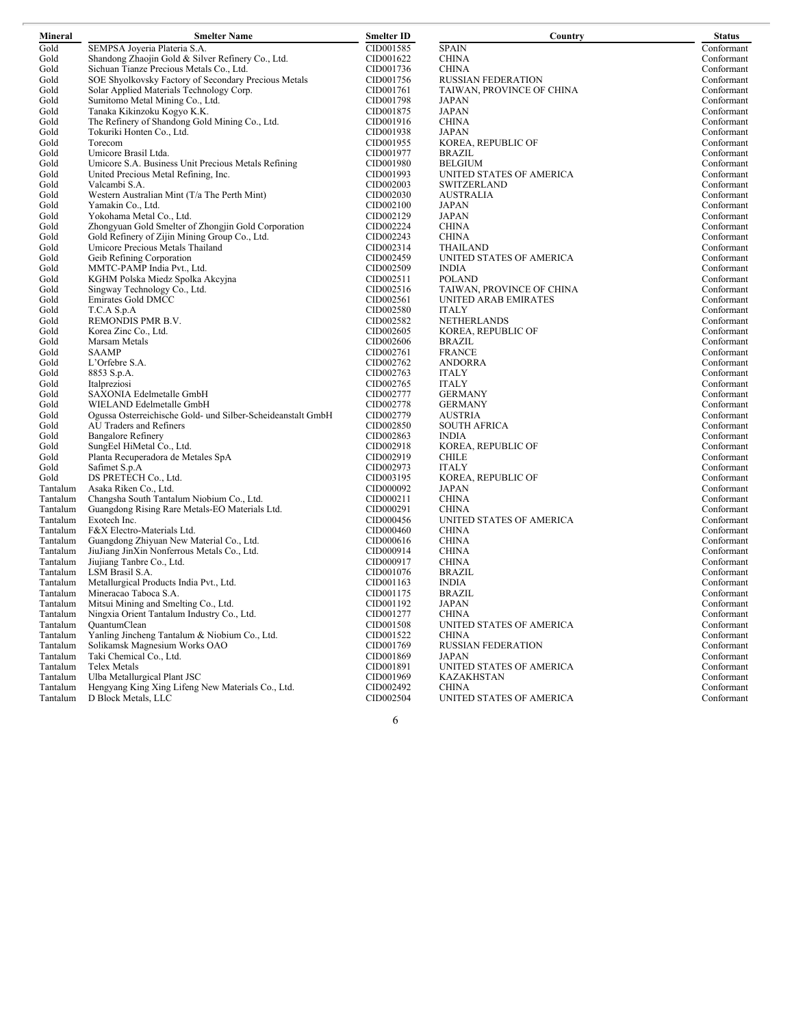| Mineral  | <b>Smelter Name</b>                                         | <b>Smelter ID</b> | Country                   | <b>Status</b> |
|----------|-------------------------------------------------------------|-------------------|---------------------------|---------------|
| Gold     | SEMPSA Joyeria Plateria S.A.                                | CID001585         | <b>SPAIN</b>              | Conformant    |
| Gold     | Shandong Zhaojin Gold & Silver Refinery Co., Ltd.           | CID001622         | <b>CHINA</b>              | Conformant    |
| Gold     | Sichuan Tianze Precious Metals Co., Ltd.                    | CID001736         | <b>CHINA</b>              | Conformant    |
| Gold     | SOE Shyolkovsky Factory of Secondary Precious Metals        | CID001756         | <b>RUSSIAN FEDERATION</b> | Conformant    |
| Gold     | Solar Applied Materials Technology Corp.                    | CID001761         | TAIWAN, PROVINCE OF CHINA | Conformant    |
| Gold     | Sumitomo Metal Mining Co., Ltd.                             | CID001798         | <b>JAPAN</b>              | Conformant    |
| Gold     | Tanaka Kikinzoku Kogyo K.K.                                 | CID001875         | <b>JAPAN</b>              | Conformant    |
| Gold     | The Refinery of Shandong Gold Mining Co., Ltd.              | CID001916         | <b>CHINA</b>              | Conformant    |
| Gold     | Tokuriki Honten Co., Ltd.                                   | CID001938         | JAPAN                     | Conformant    |
| Gold     | Torecom                                                     | CID001955         | KOREA, REPUBLIC OF        | Conformant    |
| Gold     | Umicore Brasil Ltda.                                        | CID001977         | <b>BRAZIL</b>             | Conformant    |
| Gold     | Umicore S.A. Business Unit Precious Metals Refining         | CID001980         | <b>BELGIUM</b>            | Conformant    |
| Gold     | United Precious Metal Refining, Inc.                        | CID001993         | UNITED STATES OF AMERICA  | Conformant    |
| Gold     | Valcambi S.A.                                               | CID002003         | <b>SWITZERLAND</b>        | Conformant    |
| Gold     | Western Australian Mint (T/a The Perth Mint)                | CID002030         | <b>AUSTRALIA</b>          | Conformant    |
| Gold     | Yamakin Co., Ltd.                                           | CID002100         | <b>JAPAN</b>              | Conformant    |
| Gold     | Yokohama Metal Co., Ltd.                                    | CID002129         | <b>JAPAN</b>              | Conformant    |
| Gold     | Zhongyuan Gold Smelter of Zhongjin Gold Corporation         | CID002224         | <b>CHINA</b>              | Conformant    |
| Gold     | Gold Refinery of Zijin Mining Group Co., Ltd.               | CID002243         | <b>CHINA</b>              | Conformant    |
| Gold     | Umicore Precious Metals Thailand                            | CID002314         | <b>THAILAND</b>           | Conformant    |
| Gold     | Geib Refining Corporation                                   | CID002459         | UNITED STATES OF AMERICA  | Conformant    |
| Gold     | MMTC-PAMP India Pvt., Ltd.                                  | CID002509         | <b>INDIA</b>              | Conformant    |
| Gold     | KGHM Polska Miedz Spolka Akcyjna                            | CID002511         | <b>POLAND</b>             | Conformant    |
| Gold     | Singway Technology Co., Ltd.                                | CID002516         | TAIWAN, PROVINCE OF CHINA | Conformant    |
| Gold     | Emirates Gold DMCC                                          | CID002561         | UNITED ARAB EMIRATES      | Conformant    |
| Gold     | T.C.A S.p.A                                                 | CID002580         | <b>ITALY</b>              | Conformant    |
| Gold     | REMONDIS PMR B.V.                                           | CID002582         | <b>NETHERLANDS</b>        | Conformant    |
| Gold     | Korea Zinc Co., Ltd.                                        | CID002605         | KOREA, REPUBLIC OF        | Conformant    |
| Gold     | Marsam Metals                                               | CID002606         | <b>BRAZIL</b>             | Conformant    |
| Gold     | <b>SAAMP</b>                                                | CID002761         | <b>FRANCE</b>             | Conformant    |
| Gold     | L'Orfebre S.A.                                              | CID002762         | <b>ANDORRA</b>            | Conformant    |
| Gold     | 8853 S.p.A.                                                 | CID002763         | <b>ITALY</b>              | Conformant    |
| Gold     | Italpreziosi                                                | CID002765         | <b>ITALY</b>              | Conformant    |
| Gold     | SAXONIA Edelmetalle GmbH                                    | CID002777         | <b>GERMANY</b>            | Conformant    |
| Gold     | WIELAND Edelmetalle GmbH                                    | CID002778         | <b>GERMANY</b>            | Conformant    |
| Gold     | Ogussa Osterreichische Gold- und Silber-Scheideanstalt GmbH | CID002779         | <b>AUSTRIA</b>            | Conformant    |
| Gold     | AU Traders and Refiners                                     | CID002850         | <b>SOUTH AFRICA</b>       | Conformant    |
| Gold     | <b>Bangalore Refinery</b>                                   | CID002863         | <b>INDIA</b>              | Conformant    |
| Gold     | SungEel HiMetal Co., Ltd.                                   | CID002918         | KOREA, REPUBLIC OF        | Conformant    |
| Gold     | Planta Recuperadora de Metales SpA                          | CID002919         | <b>CHILE</b>              | Conformant    |
| Gold     | Safimet S.p.A                                               | CID002973         | <b>ITALY</b>              | Conformant    |
| Gold     | DS PRETECH Co., Ltd.                                        | CID003195         | KOREA, REPUBLIC OF        | Conformant    |
| Tantalum | Asaka Riken Co., Ltd.                                       | CID000092         | JAPAN                     | Conformant    |
| Tantalum | Changsha South Tantalum Niobium Co., Ltd.                   | CID000211         | <b>CHINA</b>              | Conformant    |
| Tantalum | Guangdong Rising Rare Metals-EO Materials Ltd.              | CID000291         | <b>CHINA</b>              | Conformant    |
| Tantalum | Exotech Inc.                                                | CID000456         | UNITED STATES OF AMERICA  | Conformant    |
| Tantalum | F&X Electro-Materials Ltd.                                  | CID000460         | <b>CHINA</b>              | Conformant    |
| Tantalum | Guangdong Zhiyuan New Material Co., Ltd.                    | CID000616         | <b>CHINA</b>              | Conformant    |
| Tantalum | JiuJiang JinXin Nonferrous Metals Co., Ltd.                 | CID000914         | <b>CHINA</b>              | Conformant    |
| Tantalum | Jiujiang Tanbre Co., Ltd.                                   | CID000917         | <b>CHINA</b>              | Conformant    |
| Tantalum | LSM Brasil S.A.                                             | CID001076         | <b>BRAZIL</b>             | Conformant    |
| Tantalum | Metallurgical Products India Pvt., Ltd.                     | CID001163         | <b>INDIA</b>              | Conformant    |
| Tantalum | Mineracao Taboca S.A.                                       | CID001175         | <b>BRAZIL</b>             | Conformant    |
| Tantalum | Mitsui Mining and Smelting Co., Ltd.                        | CID001192         | <b>JAPAN</b>              | Conformant    |
| Tantalum | Ningxia Orient Tantalum Industry Co., Ltd.                  | CID001277         | <b>CHINA</b>              | Conformant    |
| Tantalum | <b>QuantumClean</b>                                         | CID001508         | UNITED STATES OF AMERICA  | Conformant    |
| Tantalum | Yanling Jincheng Tantalum & Niobium Co., Ltd.               | CID001522         | <b>CHINA</b>              | Conformant    |
| Tantalum | Solikamsk Magnesium Works OAO                               | CID001769         | <b>RUSSIAN FEDERATION</b> | Conformant    |
| Tantalum | Taki Chemical Co., Ltd.                                     | CID001869         | JAPAN                     | Conformant    |
| Tantalum | Telex Metals                                                | CID001891         | UNITED STATES OF AMERICA  | Conformant    |
| Tantalum | Ulba Metallurgical Plant JSC                                | CID001969         | <b>KAZAKHSTAN</b>         | Conformant    |
| Tantalum | Hengyang King Xing Lifeng New Materials Co., Ltd.           | CID002492         | <b>CHINA</b>              | Conformant    |
| Tantalum | D Block Metals, LLC                                         | CID002504         | UNITED STATES OF AMERICA  | Conformant    |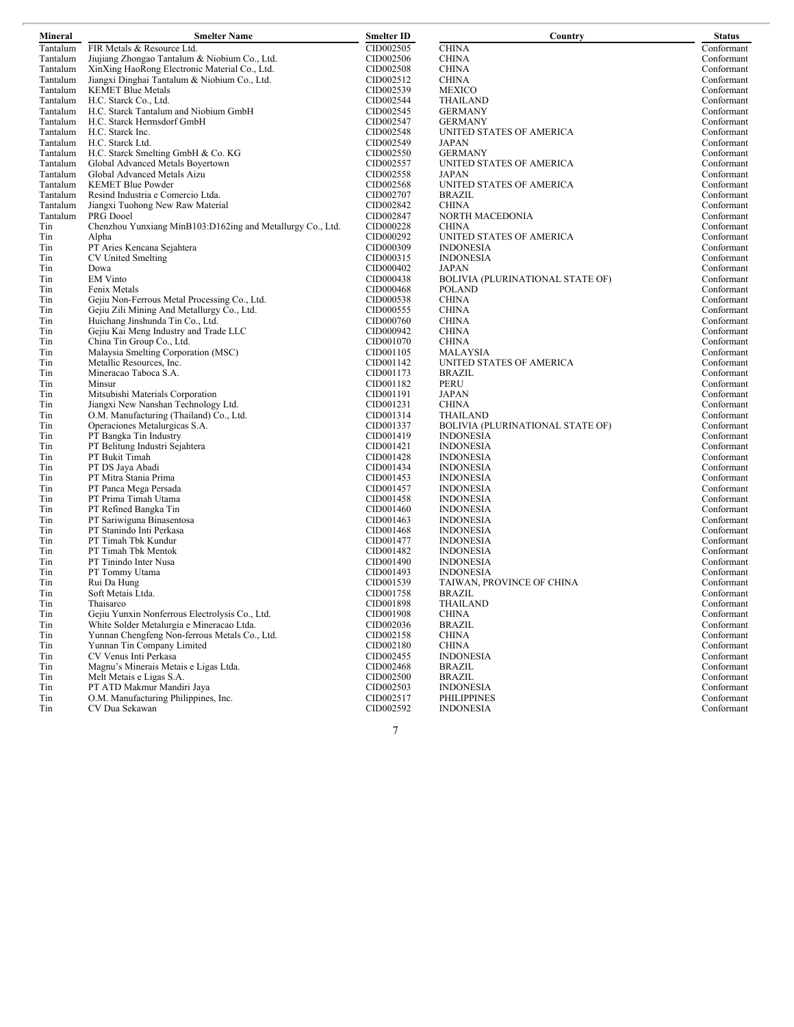| Mineral    | <b>Smelter Name</b>                                                     | <b>Smelter ID</b>      | Country                                 | <b>Status</b>            |
|------------|-------------------------------------------------------------------------|------------------------|-----------------------------------------|--------------------------|
| Tantalum   | FIR Metals & Resource Ltd.                                              | CID002505              | <b>CHINA</b>                            | Conformant               |
| Tantalum   | Jiujiang Zhongao Tantalum & Niobium Co., Ltd.                           | CID002506              | <b>CHINA</b>                            | Conformant               |
| Tantalum   | XinXing HaoRong Electronic Material Co., Ltd.                           | CID002508              | <b>CHINA</b>                            | Conformant               |
| Tantalum   | Jiangxi Dinghai Tantalum & Niobium Co., Ltd.                            | CID002512              | <b>CHINA</b>                            | Conformant               |
| Tantalum   | <b>KEMET Blue Metals</b>                                                | CID002539              | <b>MEXICO</b>                           | Conformant               |
| Tantalum   | H.C. Starck Co., Ltd.                                                   | CID002544              | <b>THAILAND</b>                         | Conformant               |
| Tantalum   | H.C. Starck Tantalum and Niobium GmbH                                   | CID002545              | <b>GERMANY</b>                          | Conformant               |
| Tantalum   | H.C. Starck Hermsdorf GmbH                                              | CID002547              | <b>GERMANY</b>                          | Conformant               |
| Tantalum   | H.C. Starck Inc.                                                        | CID002548              | UNITED STATES OF AMERICA                | Conformant               |
| Tantalum   | H.C. Starck Ltd.                                                        | CID002549              | JAPAN                                   | Conformant               |
| Tantalum   | H.C. Starck Smelting GmbH & Co. KG                                      | CID002550              | <b>GERMANY</b>                          | Conformant               |
| Tantalum   | Global Advanced Metals Boyertown                                        | CID002557              | UNITED STATES OF AMERICA                | Conformant               |
| Tantalum   | Global Advanced Metals Aizu                                             | CID002558              | JAPAN                                   | Conformant               |
| Tantalum   | <b>KEMET Blue Powder</b>                                                | CID002568              | UNITED STATES OF AMERICA                | Conformant               |
| Tantalum   | Resind Industria e Comercio Ltda.                                       | CID002707              | BRAZIL                                  | Conformant               |
| Tantalum   | Jiangxi Tuohong New Raw Material                                        | CID002842              | <b>CHINA</b>                            | Conformant               |
| Tantalum   | PRG Dooel                                                               | CID002847              | NORTH MACEDONIA                         | Conformant               |
| Tin        | Chenzhou Yunxiang MinB103:D162ing and Metallurgy Co., Ltd.              | CID000228              | <b>CHINA</b>                            | Conformant               |
| Tin        | Alpha                                                                   | CID000292              | UNITED STATES OF AMERICA                | Conformant               |
| Tin        | PT Aries Kencana Sejahtera                                              | CID000309              | <b>INDONESIA</b>                        | Conformant               |
| Tin        | CV United Smelting                                                      | CID000315              | <b>INDONESIA</b>                        | Conformant               |
| Tin        | Dowa                                                                    | CID000402              | <b>JAPAN</b>                            | Conformant               |
| Tin        | <b>EM Vinto</b>                                                         | CID000438              | <b>BOLIVIA (PLURINATIONAL STATE OF)</b> | Conformant               |
| Tin        | Fenix Metals                                                            | CID000468              | <b>POLAND</b>                           | Conformant               |
| Tin        | Gejiu Non-Ferrous Metal Processing Co., Ltd.                            | CID000538              | <b>CHINA</b>                            | Conformant               |
| Tin        | Gejiu Zili Mining And Metallurgy Co., Ltd.                              | CID000555              | <b>CHINA</b>                            | Conformant               |
| Tin        | Huichang Jinshunda Tin Co., Ltd.                                        | CID000760              | <b>CHINA</b>                            | Conformant               |
| Tin        | Gejiu Kai Meng Industry and Trade LLC                                   | CID000942              | <b>CHINA</b>                            | Conformant               |
| Tin        | China Tin Group Co., Ltd.                                               | CID001070              | <b>CHINA</b>                            | Conformant               |
| Tin        | Malaysia Smelting Corporation (MSC)                                     | CID001105              | MALAYSIA                                | Conformant               |
| Tin        | Metallic Resources, Inc.                                                | CID001142              | UNITED STATES OF AMERICA                | Conformant               |
| Tin        | Mineracao Taboca S.A.                                                   | CID001173              | BRAZIL                                  | Conformant               |
| Tin        | Minsur                                                                  | CID001182<br>CID001191 | <b>PERU</b><br>JAPAN                    | Conformant               |
| Tin        | Mitsubishi Materials Corporation<br>Jiangxi New Nanshan Technology Ltd. | CID001231              | <b>CHINA</b>                            | Conformant<br>Conformant |
| Tin<br>Tin | O.M. Manufacturing (Thailand) Co., Ltd.                                 | CID001314              | THAILAND                                | Conformant               |
| Tin        | Operaciones Metalurgicas S.A.                                           | CID001337              | <b>BOLIVIA (PLURINATIONAL STATE OF)</b> | Conformant               |
| Tin        | PT Bangka Tin Industry                                                  | CID001419              | <b>INDONESIA</b>                        | Conformant               |
| Tin        | PT Belitung Industri Sejahtera                                          | CID001421              | <b>INDONESIA</b>                        | Conformant               |
| Tin        | PT Bukit Timah                                                          | CID001428              | <b>INDONESIA</b>                        | Conformant               |
| Tin        | PT DS Jaya Abadi                                                        | CID001434              | <b>INDONESIA</b>                        | Conformant               |
| Tin        | PT Mitra Stania Prima                                                   | CID001453              | <b>INDONESIA</b>                        | Conformant               |
| Tin        | PT Panca Mega Persada                                                   | CID001457              | <b>INDONESIA</b>                        | Conformant               |
| Tin        | PT Prima Timah Utama                                                    | CID001458              | <b>INDONESIA</b>                        | Conformant               |
| Tin        | PT Refined Bangka Tin                                                   | CID001460              | <b>INDONESIA</b>                        | Conformant               |
| Tin        | PT Sariwiguna Binasentosa                                               | CID001463              | <b>INDONESIA</b>                        | Conformant               |
| Tin        | PT Stanindo Inti Perkasa                                                | CID001468              | <b>INDONESIA</b>                        | Conformant               |
| Tin        | PT Timah Tbk Kundur                                                     | CID001477              | <b>INDONESIA</b>                        | Conformant               |
| Tin        | PT Timah Tbk Mentok                                                     | CID001482              | <b>INDONESIA</b>                        | Conformant               |
| Tin        | PT Tinindo Inter Nusa                                                   | CID001490              | <b>INDONESIA</b>                        | Conformant               |
| Tin        | PT Tommy Utama                                                          | CID001493              | <b>INDONESIA</b>                        | Conformant               |
| Tin        | Rui Da Hung                                                             | CID001539              | TAIWAN, PROVINCE OF CHINA               | Conformant               |
| Tin        | Soft Metais Ltda.                                                       | CID001758              | <b>BRAZIL</b>                           | Conformant               |
| Tin        | Thaisarco                                                               | CID001898              | <b>THAILAND</b>                         | Conformant               |
| Tin        | Gejiu Yunxin Nonferrous Electrolysis Co., Ltd.                          | CID001908              | <b>CHINA</b>                            | Conformant               |
| Tin        | White Solder Metalurgia e Mineracao Ltda.                               | CID002036              | <b>BRAZIL</b>                           | Conformant               |
| Tin        | Yunnan Chengfeng Non-ferrous Metals Co., Ltd.                           | CID002158              | <b>CHINA</b>                            | Conformant               |
| Tin        | Yunnan Tin Company Limited                                              | CID002180              | <b>CHINA</b>                            | Conformant               |
| Tin        | CV Venus Inti Perkasa                                                   | CID002455              | <b>INDONESIA</b>                        | Conformant               |
| Tin        | Magnu's Minerais Metais e Ligas Ltda.                                   | CID002468              | <b>BRAZIL</b>                           | Conformant               |
| Tin        | Melt Metais e Ligas S.A.                                                | CID002500              | <b>BRAZIL</b>                           | Conformant               |
| Tin        | PT ATD Makmur Mandiri Jaya                                              | CID002503              | <b>INDONESIA</b>                        | Conformant               |
| Tin        | O.M. Manufacturing Philippines, Inc.                                    | CID002517              | <b>PHILIPPINES</b>                      | Conformant               |
| Tin        | CV Dua Sekawan                                                          | CID002592              | <b>INDONESIA</b>                        | Conformant               |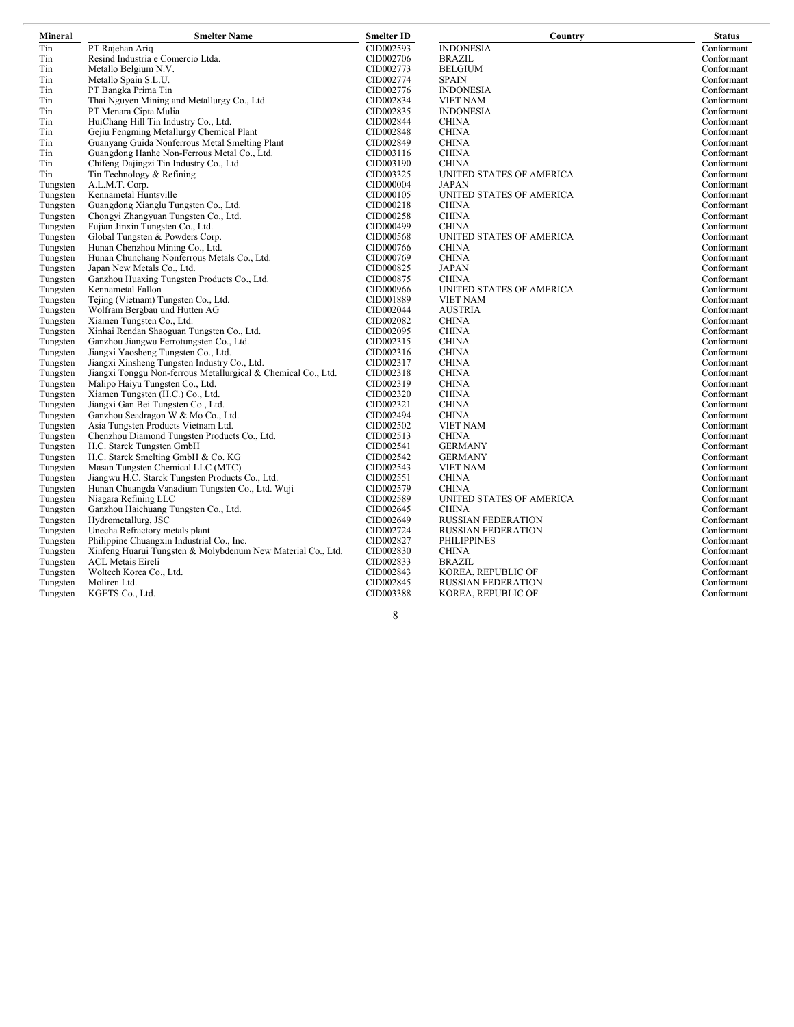| Mineral              | <b>Smelter Name</b>                                                 | <b>Smelter ID</b>      | Country                   | <b>Status</b> |
|----------------------|---------------------------------------------------------------------|------------------------|---------------------------|---------------|
| Tin                  | PT Rajehan Ariq                                                     | CID002593              | <b>INDONESIA</b>          | Conformant    |
| Tin                  | Resind Industria e Comercio Ltda.                                   | CID002706              | <b>BRAZIL</b>             | Conformant    |
| Tin                  | Metallo Belgium N.V.                                                | CID002773              | <b>BELGIUM</b>            | Conformant    |
| Tin                  | Metallo Spain S.L.U.                                                | CID002774              | <b>SPAIN</b>              | Conformant    |
| Tin                  | PT Bangka Prima Tin                                                 | CID002776              | <b>INDONESIA</b>          | Conformant    |
| Tin                  | Thai Nguyen Mining and Metallurgy Co., Ltd.                         | CID002834              | <b>VIET NAM</b>           | Conformant    |
| Tin                  | PT Menara Cipta Mulia                                               | CID002835              | <b>INDONESIA</b>          | Conformant    |
| Tin                  | HuiChang Hill Tin Industry Co., Ltd.                                | CID002844              | <b>CHINA</b>              | Conformant    |
| Tin                  | Gejiu Fengming Metallurgy Chemical Plant                            | CID002848              | <b>CHINA</b>              | Conformant    |
| Tin                  | Guanyang Guida Nonferrous Metal Smelting Plant                      | CID002849              | <b>CHINA</b>              | Conformant    |
| Tin                  | Guangdong Hanhe Non-Ferrous Metal Co., Ltd.                         | CID003116              | <b>CHINA</b>              | Conformant    |
| Tin                  | Chifeng Dajingzi Tin Industry Co., Ltd.                             | CID003190              | <b>CHINA</b>              | Conformant    |
| Tin                  | Tin Technology & Refining                                           | CID003325              | UNITED STATES OF AMERICA  | Conformant    |
| Tungsten             | A.L.M.T. Corp.                                                      | CID000004              | <b>JAPAN</b>              | Conformant    |
| Tungsten             | Kennametal Huntsville                                               | CID000105              | UNITED STATES OF AMERICA  | Conformant    |
| Tungsten             | Guangdong Xianglu Tungsten Co., Ltd.                                | CID000218              | <b>CHINA</b>              | Conformant    |
| Tungsten             | Chongyi Zhangyuan Tungsten Co., Ltd.                                | CID000258              | <b>CHINA</b>              | Conformant    |
| Tungsten             | Fujian Jinxin Tungsten Co., Ltd.                                    | CID000499              | <b>CHINA</b>              | Conformant    |
| Tungsten             | Global Tungsten & Powders Corp.                                     | CID000568              | UNITED STATES OF AMERICA  | Conformant    |
| Tungsten             | Hunan Chenzhou Mining Co., Ltd.                                     | CID000766              | <b>CHINA</b>              | Conformant    |
| Tungsten             | Hunan Chunchang Nonferrous Metals Co., Ltd.                         | CID000769              | <b>CHINA</b>              | Conformant    |
| Tungsten             | Japan New Metals Co., Ltd.                                          | CID000825              | JAPAN                     | Conformant    |
| Tungsten             | Ganzhou Huaxing Tungsten Products Co., Ltd.                         | CID000875              | <b>CHINA</b>              | Conformant    |
| Tungsten             | Kennametal Fallon                                                   | CID000966              | UNITED STATES OF AMERICA  | Conformant    |
|                      | Tejing (Vietnam) Tungsten Co., Ltd.                                 | CID001889              | <b>VIET NAM</b>           | Conformant    |
| Tungsten             | Wolfram Bergbau und Hutten AG                                       | CID002044              | <b>AUSTRIA</b>            | Conformant    |
| Tungsten             | Xiamen Tungsten Co., Ltd.                                           | CID002082              | <b>CHINA</b>              | Conformant    |
| Tungsten             | Xinhai Rendan Shaoguan Tungsten Co., Ltd.                           |                        | <b>CHINA</b>              | Conformant    |
| Tungsten<br>Tungsten | Ganzhou Jiangwu Ferrotungsten Co., Ltd.                             | CID002095<br>CID002315 | <b>CHINA</b>              | Conformant    |
|                      | Jiangxi Yaosheng Tungsten Co., Ltd.                                 | CID002316              | <b>CHINA</b>              | Conformant    |
| Tungsten             |                                                                     | CID002317              | <b>CHINA</b>              |               |
| Tungsten             | Jiangxi Xinsheng Tungsten Industry Co., Ltd.                        |                        |                           | Conformant    |
| Tungsten             | Jiangxi Tonggu Non-ferrous Metallurgical & Chemical Co., Ltd.       | CID002318              | <b>CHINA</b>              | Conformant    |
| Tungsten             | Malipo Haiyu Tungsten Co., Ltd.<br>Xiamen Tungsten (H.C.) Co., Ltd. | CID002319              | <b>CHINA</b>              | Conformant    |
| Tungsten             |                                                                     | CID002320              | <b>CHINA</b>              | Conformant    |
| Tungsten             | Jiangxi Gan Bei Tungsten Co., Ltd.                                  | CID002321              | <b>CHINA</b>              | Conformant    |
| Tungsten             | Ganzhou Seadragon W & Mo Co., Ltd.                                  | CID002494              | <b>CHINA</b>              | Conformant    |
| Tungsten             | Asia Tungsten Products Vietnam Ltd.                                 | CID002502              | <b>VIET NAM</b>           | Conformant    |
| Tungsten             | Chenzhou Diamond Tungsten Products Co., Ltd.                        | CID002513              | <b>CHINA</b>              | Conformant    |
| Tungsten             | H.C. Starck Tungsten GmbH                                           | CID002541              | <b>GERMANY</b>            | Conformant    |
| Tungsten             | H.C. Starck Smelting GmbH & Co. KG                                  | CID002542              | <b>GERMANY</b>            | Conformant    |
| Tungsten             | Masan Tungsten Chemical LLC (MTC)                                   | CID002543              | <b>VIET NAM</b>           | Conformant    |
| Tungsten             | Jiangwu H.C. Starck Tungsten Products Co., Ltd.                     | CID002551              | <b>CHINA</b>              | Conformant    |
| Tungsten             | Hunan Chuangda Vanadium Tungsten Co., Ltd. Wuji                     | CID002579              | <b>CHINA</b>              | Conformant    |
| Tungsten             | Niagara Refining LLC<br>Ganzhou Haichuang Tungsten Co., Ltd.        | CID002589              | UNITED STATES OF AMERICA  | Conformant    |
| Tungsten             |                                                                     | CID002645              | <b>CHINA</b>              | Conformant    |
| Tungsten             | Hydrometallurg, JSC                                                 | CID002649              | <b>RUSSIAN FEDERATION</b> | Conformant    |
| Tungsten             | Unecha Refractory metals plant                                      | CID002724              | <b>RUSSIAN FEDERATION</b> | Conformant    |
| Tungsten             | Philippine Chuangxin Industrial Co., Inc.                           | CID002827              | <b>PHILIPPINES</b>        | Conformant    |
| Tungsten             | Xinfeng Huarui Tungsten & Molybdenum New Material Co., Ltd.         | CID002830              | <b>CHINA</b>              | Conformant    |
| Tungsten             | <b>ACL Metais Eireli</b>                                            | CID002833              | <b>BRAZIL</b>             | Conformant    |
| Tungsten             | Woltech Korea Co., Ltd.                                             | CID002843              | KOREA, REPUBLIC OF        | Conformant    |
| Tungsten             | Moliren Ltd.                                                        | CID002845              | <b>RUSSIAN FEDERATION</b> | Conformant    |
| Tungsten             | KGETS Co., Ltd.                                                     | CID003388              | KOREA, REPUBLIC OF        | Conformant    |